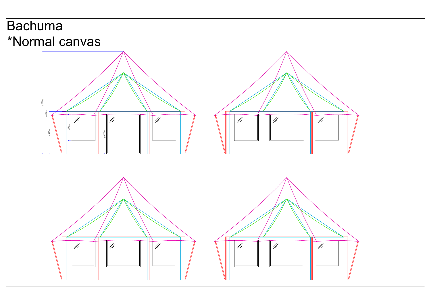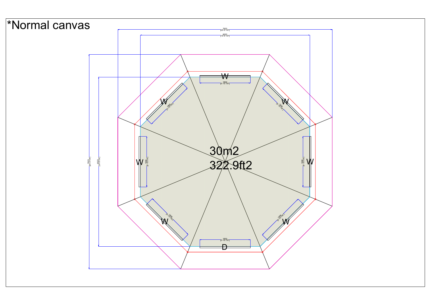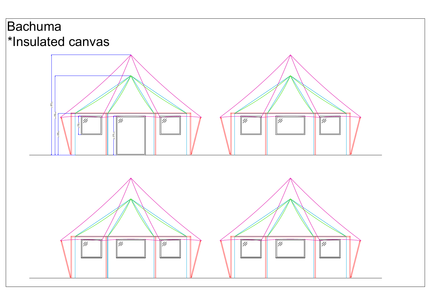



## Bachuma \*Insulated canvas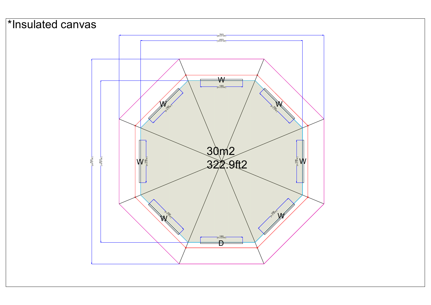

We are the contract of the contract of the contract of the contract of the contract of the contract of the contract of the contract of the contract of the contract of the contract of the contract of the contract of the con W<sub>/</sub>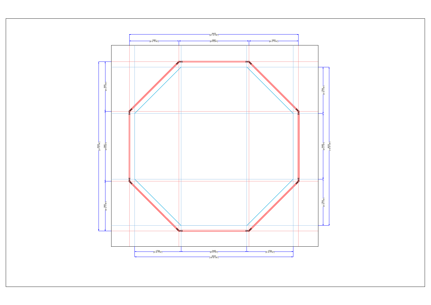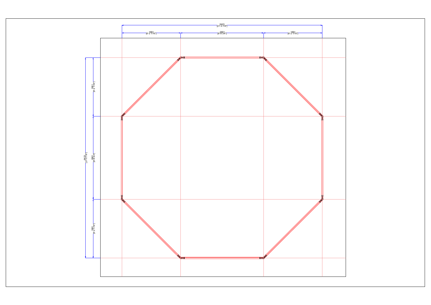